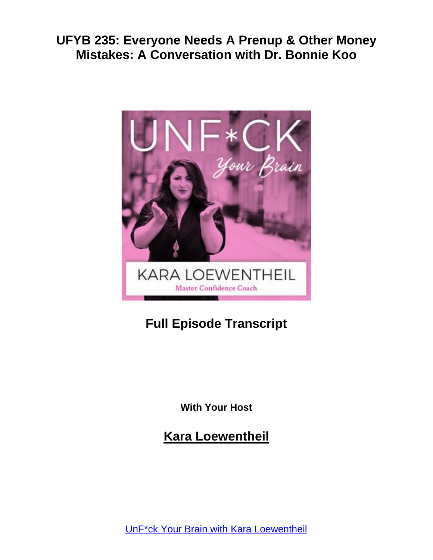

# **Full Episode Transcript**

**With Your Host**

**Kara Loewentheil**

UnF\*ck Your Brain with Kara [Loewentheil](https://unfuckyourbrain.com/podcast/)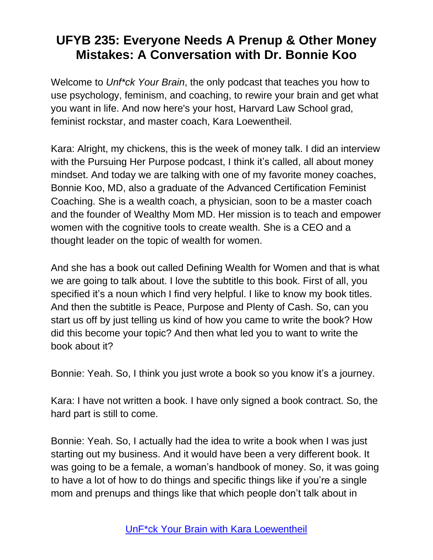Welcome to *Unf\*ck Your Brain*, the only podcast that teaches you how to use psychology, feminism, and coaching, to rewire your brain and get what you want in life. And now here's your host, Harvard Law School grad, feminist rockstar, and master coach, Kara Loewentheil.

Kara: Alright, my chickens, this is the week of money talk. I did an interview with the Pursuing Her Purpose podcast, I think it's called, all about money mindset. And today we are talking with one of my favorite money coaches, Bonnie Koo, MD, also a graduate of the Advanced Certification Feminist Coaching. She is a wealth coach, a physician, soon to be a master coach and the founder of Wealthy Mom MD. Her mission is to teach and empower women with the cognitive tools to create wealth. She is a CEO and a thought leader on the topic of wealth for women.

And she has a book out called Defining Wealth for Women and that is what we are going to talk about. I love the subtitle to this book. First of all, you specified it's a noun which I find very helpful. I like to know my book titles. And then the subtitle is Peace, Purpose and Plenty of Cash. So, can you start us off by just telling us kind of how you came to write the book? How did this become your topic? And then what led you to want to write the book about it?

Bonnie: Yeah. So, I think you just wrote a book so you know it's a journey.

Kara: I have not written a book. I have only signed a book contract. So, the hard part is still to come.

Bonnie: Yeah. So, I actually had the idea to write a book when I was just starting out my business. And it would have been a very different book. It was going to be a female, a woman's handbook of money. So, it was going to have a lot of how to do things and specific things like if you're a single mom and prenups and things like that which people don't talk about in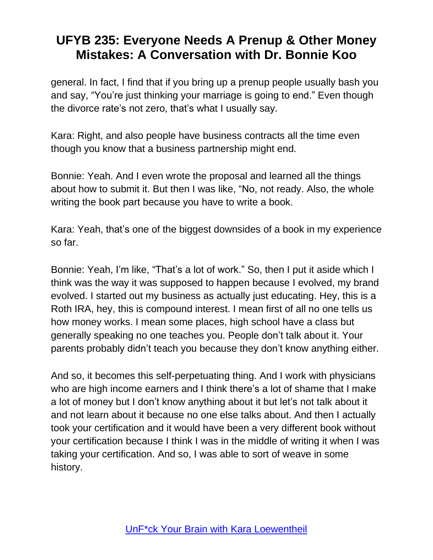general. In fact, I find that if you bring up a prenup people usually bash you and say, "You're just thinking your marriage is going to end." Even though the divorce rate's not zero, that's what I usually say.

Kara: Right, and also people have business contracts all the time even though you know that a business partnership might end.

Bonnie: Yeah. And I even wrote the proposal and learned all the things about how to submit it. But then I was like, "No, not ready. Also, the whole writing the book part because you have to write a book.

Kara: Yeah, that's one of the biggest downsides of a book in my experience so far.

Bonnie: Yeah, I'm like, "That's a lot of work." So, then I put it aside which I think was the way it was supposed to happen because I evolved, my brand evolved. I started out my business as actually just educating. Hey, this is a Roth IRA, hey, this is compound interest. I mean first of all no one tells us how money works. I mean some places, high school have a class but generally speaking no one teaches you. People don't talk about it. Your parents probably didn't teach you because they don't know anything either.

And so, it becomes this self-perpetuating thing. And I work with physicians who are high income earners and I think there's a lot of shame that I make a lot of money but I don't know anything about it but let's not talk about it and not learn about it because no one else talks about. And then I actually took your certification and it would have been a very different book without your certification because I think I was in the middle of writing it when I was taking your certification. And so, I was able to sort of weave in some history.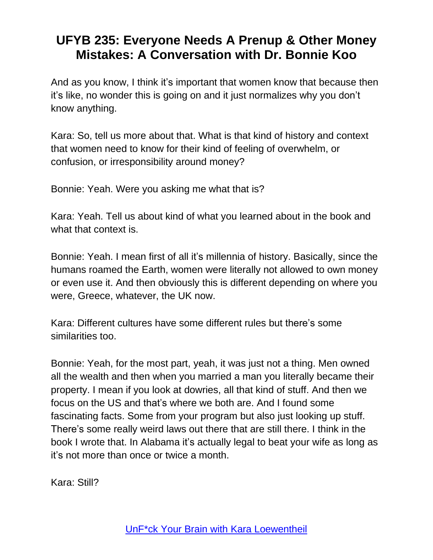And as you know, I think it's important that women know that because then it's like, no wonder this is going on and it just normalizes why you don't know anything.

Kara: So, tell us more about that. What is that kind of history and context that women need to know for their kind of feeling of overwhelm, or confusion, or irresponsibility around money?

Bonnie: Yeah. Were you asking me what that is?

Kara: Yeah. Tell us about kind of what you learned about in the book and what that context is.

Bonnie: Yeah. I mean first of all it's millennia of history. Basically, since the humans roamed the Earth, women were literally not allowed to own money or even use it. And then obviously this is different depending on where you were, Greece, whatever, the UK now.

Kara: Different cultures have some different rules but there's some similarities too.

Bonnie: Yeah, for the most part, yeah, it was just not a thing. Men owned all the wealth and then when you married a man you literally became their property. I mean if you look at dowries, all that kind of stuff. And then we focus on the US and that's where we both are. And I found some fascinating facts. Some from your program but also just looking up stuff. There's some really weird laws out there that are still there. I think in the book I wrote that. In Alabama it's actually legal to beat your wife as long as it's not more than once or twice a month.

Kara: Still?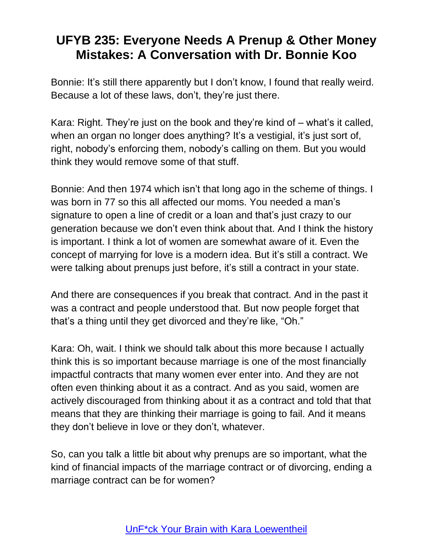Bonnie: It's still there apparently but I don't know, I found that really weird. Because a lot of these laws, don't, they're just there.

Kara: Right. They're just on the book and they're kind of – what's it called, when an organ no longer does anything? It's a vestigial, it's just sort of, right, nobody's enforcing them, nobody's calling on them. But you would think they would remove some of that stuff.

Bonnie: And then 1974 which isn't that long ago in the scheme of things. I was born in 77 so this all affected our moms. You needed a man's signature to open a line of credit or a loan and that's just crazy to our generation because we don't even think about that. And I think the history is important. I think a lot of women are somewhat aware of it. Even the concept of marrying for love is a modern idea. But it's still a contract. We were talking about prenups just before, it's still a contract in your state.

And there are consequences if you break that contract. And in the past it was a contract and people understood that. But now people forget that that's a thing until they get divorced and they're like, "Oh."

Kara: Oh, wait. I think we should talk about this more because I actually think this is so important because marriage is one of the most financially impactful contracts that many women ever enter into. And they are not often even thinking about it as a contract. And as you said, women are actively discouraged from thinking about it as a contract and told that that means that they are thinking their marriage is going to fail. And it means they don't believe in love or they don't, whatever.

So, can you talk a little bit about why prenups are so important, what the kind of financial impacts of the marriage contract or of divorcing, ending a marriage contract can be for women?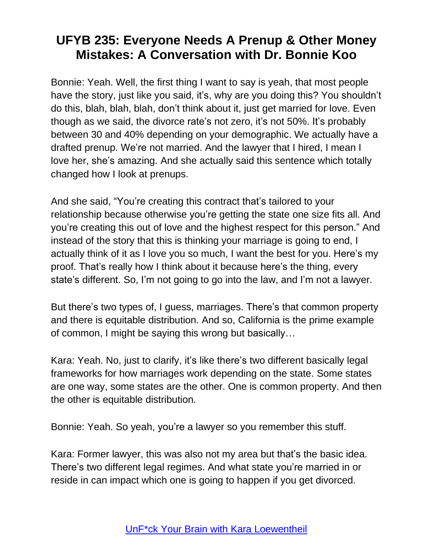Bonnie: Yeah. Well, the first thing I want to say is yeah, that most people have the story, just like you said, it's, why are you doing this? You shouldn't do this, blah, blah, blah, don't think about it, just get married for love. Even though as we said, the divorce rate's not zero, it's not 50%. It's probably between 30 and 40% depending on your demographic. We actually have a drafted prenup. We're not married. And the lawyer that I hired, I mean I love her, she's amazing. And she actually said this sentence which totally changed how I look at prenups.

And she said, "You're creating this contract that's tailored to your relationship because otherwise you're getting the state one size fits all. And you're creating this out of love and the highest respect for this person." And instead of the story that this is thinking your marriage is going to end, I actually think of it as I love you so much, I want the best for you. Here's my proof. That's really how I think about it because here's the thing, every state's different. So, I'm not going to go into the law, and I'm not a lawyer.

But there's two types of, I guess, marriages. There's that common property and there is equitable distribution. And so, California is the prime example of common, I might be saying this wrong but basically…

Kara: Yeah. No, just to clarify, it's like there's two different basically legal frameworks for how marriages work depending on the state. Some states are one way, some states are the other. One is common property. And then the other is equitable distribution.

Bonnie: Yeah. So yeah, you're a lawyer so you remember this stuff.

Kara: Former lawyer, this was also not my area but that's the basic idea. There's two different legal regimes. And what state you're married in or reside in can impact which one is going to happen if you get divorced.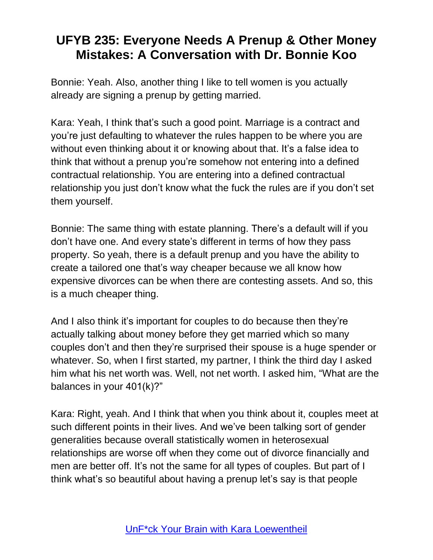Bonnie: Yeah. Also, another thing I like to tell women is you actually already are signing a prenup by getting married.

Kara: Yeah, I think that's such a good point. Marriage is a contract and you're just defaulting to whatever the rules happen to be where you are without even thinking about it or knowing about that. It's a false idea to think that without a prenup you're somehow not entering into a defined contractual relationship. You are entering into a defined contractual relationship you just don't know what the fuck the rules are if you don't set them yourself.

Bonnie: The same thing with estate planning. There's a default will if you don't have one. And every state's different in terms of how they pass property. So yeah, there is a default prenup and you have the ability to create a tailored one that's way cheaper because we all know how expensive divorces can be when there are contesting assets. And so, this is a much cheaper thing.

And I also think it's important for couples to do because then they're actually talking about money before they get married which so many couples don't and then they're surprised their spouse is a huge spender or whatever. So, when I first started, my partner, I think the third day I asked him what his net worth was. Well, not net worth. I asked him, "What are the balances in your 401(k)?"

Kara: Right, yeah. And I think that when you think about it, couples meet at such different points in their lives. And we've been talking sort of gender generalities because overall statistically women in heterosexual relationships are worse off when they come out of divorce financially and men are better off. It's not the same for all types of couples. But part of I think what's so beautiful about having a prenup let's say is that people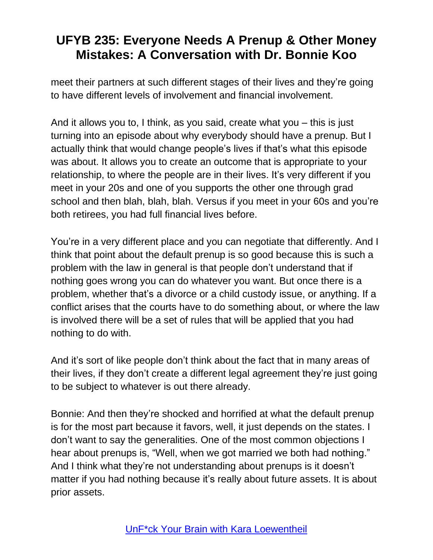meet their partners at such different stages of their lives and they're going to have different levels of involvement and financial involvement.

And it allows you to, I think, as you said, create what you – this is just turning into an episode about why everybody should have a prenup. But I actually think that would change people's lives if that's what this episode was about. It allows you to create an outcome that is appropriate to your relationship, to where the people are in their lives. It's very different if you meet in your 20s and one of you supports the other one through grad school and then blah, blah, blah. Versus if you meet in your 60s and you're both retirees, you had full financial lives before.

You're in a very different place and you can negotiate that differently. And I think that point about the default prenup is so good because this is such a problem with the law in general is that people don't understand that if nothing goes wrong you can do whatever you want. But once there is a problem, whether that's a divorce or a child custody issue, or anything. If a conflict arises that the courts have to do something about, or where the law is involved there will be a set of rules that will be applied that you had nothing to do with.

And it's sort of like people don't think about the fact that in many areas of their lives, if they don't create a different legal agreement they're just going to be subject to whatever is out there already.

Bonnie: And then they're shocked and horrified at what the default prenup is for the most part because it favors, well, it just depends on the states. I don't want to say the generalities. One of the most common objections I hear about prenups is, "Well, when we got married we both had nothing." And I think what they're not understanding about prenups is it doesn't matter if you had nothing because it's really about future assets. It is about prior assets.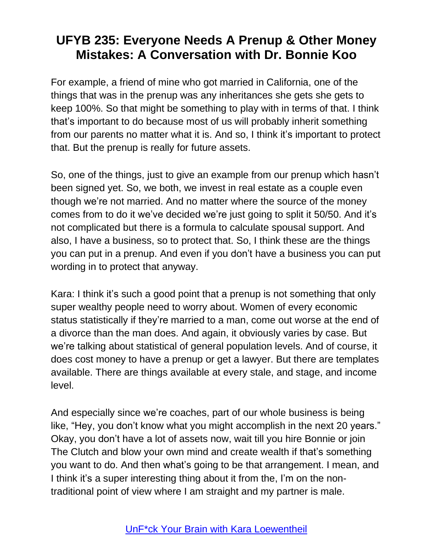For example, a friend of mine who got married in California, one of the things that was in the prenup was any inheritances she gets she gets to keep 100%. So that might be something to play with in terms of that. I think that's important to do because most of us will probably inherit something from our parents no matter what it is. And so, I think it's important to protect that. But the prenup is really for future assets.

So, one of the things, just to give an example from our prenup which hasn't been signed yet. So, we both, we invest in real estate as a couple even though we're not married. And no matter where the source of the money comes from to do it we've decided we're just going to split it 50/50. And it's not complicated but there is a formula to calculate spousal support. And also, I have a business, so to protect that. So, I think these are the things you can put in a prenup. And even if you don't have a business you can put wording in to protect that anyway.

Kara: I think it's such a good point that a prenup is not something that only super wealthy people need to worry about. Women of every economic status statistically if they're married to a man, come out worse at the end of a divorce than the man does. And again, it obviously varies by case. But we're talking about statistical of general population levels. And of course, it does cost money to have a prenup or get a lawyer. But there are templates available. There are things available at every stale, and stage, and income level.

And especially since we're coaches, part of our whole business is being like, "Hey, you don't know what you might accomplish in the next 20 years." Okay, you don't have a lot of assets now, wait till you hire Bonnie or join The Clutch and blow your own mind and create wealth if that's something you want to do. And then what's going to be that arrangement. I mean, and I think it's a super interesting thing about it from the, I'm on the nontraditional point of view where I am straight and my partner is male.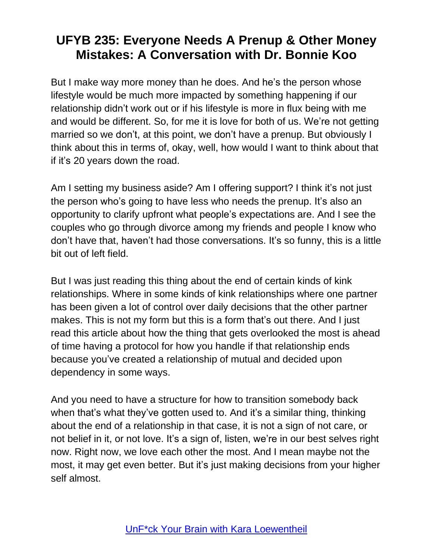But I make way more money than he does. And he's the person whose lifestyle would be much more impacted by something happening if our relationship didn't work out or if his lifestyle is more in flux being with me and would be different. So, for me it is love for both of us. We're not getting married so we don't, at this point, we don't have a prenup. But obviously I think about this in terms of, okay, well, how would I want to think about that if it's 20 years down the road.

Am I setting my business aside? Am I offering support? I think it's not just the person who's going to have less who needs the prenup. It's also an opportunity to clarify upfront what people's expectations are. And I see the couples who go through divorce among my friends and people I know who don't have that, haven't had those conversations. It's so funny, this is a little bit out of left field.

But I was just reading this thing about the end of certain kinds of kink relationships. Where in some kinds of kink relationships where one partner has been given a lot of control over daily decisions that the other partner makes. This is not my form but this is a form that's out there. And I just read this article about how the thing that gets overlooked the most is ahead of time having a protocol for how you handle if that relationship ends because you've created a relationship of mutual and decided upon dependency in some ways.

And you need to have a structure for how to transition somebody back when that's what they've gotten used to. And it's a similar thing, thinking about the end of a relationship in that case, it is not a sign of not care, or not belief in it, or not love. It's a sign of, listen, we're in our best selves right now. Right now, we love each other the most. And I mean maybe not the most, it may get even better. But it's just making decisions from your higher self almost.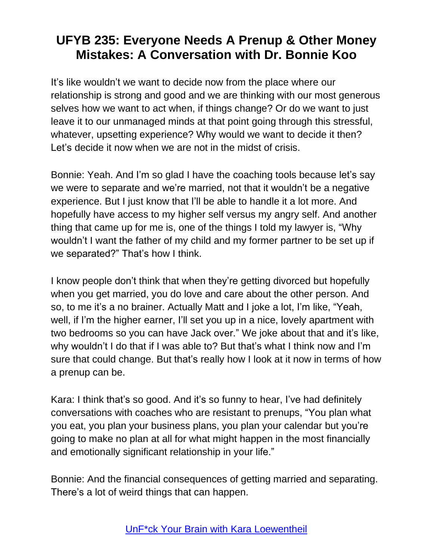It's like wouldn't we want to decide now from the place where our relationship is strong and good and we are thinking with our most generous selves how we want to act when, if things change? Or do we want to just leave it to our unmanaged minds at that point going through this stressful, whatever, upsetting experience? Why would we want to decide it then? Let's decide it now when we are not in the midst of crisis.

Bonnie: Yeah. And I'm so glad I have the coaching tools because let's say we were to separate and we're married, not that it wouldn't be a negative experience. But I just know that I'll be able to handle it a lot more. And hopefully have access to my higher self versus my angry self. And another thing that came up for me is, one of the things I told my lawyer is, "Why wouldn't I want the father of my child and my former partner to be set up if we separated?" That's how I think.

I know people don't think that when they're getting divorced but hopefully when you get married, you do love and care about the other person. And so, to me it's a no brainer. Actually Matt and I joke a lot, I'm like, "Yeah, well, if I'm the higher earner, I'll set you up in a nice, lovely apartment with two bedrooms so you can have Jack over." We joke about that and it's like, why wouldn't I do that if I was able to? But that's what I think now and I'm sure that could change. But that's really how I look at it now in terms of how a prenup can be.

Kara: I think that's so good. And it's so funny to hear, I've had definitely conversations with coaches who are resistant to prenups, "You plan what you eat, you plan your business plans, you plan your calendar but you're going to make no plan at all for what might happen in the most financially and emotionally significant relationship in your life."

Bonnie: And the financial consequences of getting married and separating. There's a lot of weird things that can happen.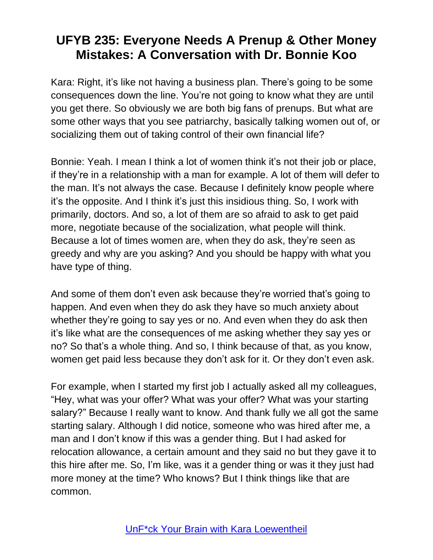Kara: Right, it's like not having a business plan. There's going to be some consequences down the line. You're not going to know what they are until you get there. So obviously we are both big fans of prenups. But what are some other ways that you see patriarchy, basically talking women out of, or socializing them out of taking control of their own financial life?

Bonnie: Yeah. I mean I think a lot of women think it's not their job or place, if they're in a relationship with a man for example. A lot of them will defer to the man. It's not always the case. Because I definitely know people where it's the opposite. And I think it's just this insidious thing. So, I work with primarily, doctors. And so, a lot of them are so afraid to ask to get paid more, negotiate because of the socialization, what people will think. Because a lot of times women are, when they do ask, they're seen as greedy and why are you asking? And you should be happy with what you have type of thing.

And some of them don't even ask because they're worried that's going to happen. And even when they do ask they have so much anxiety about whether they're going to say yes or no. And even when they do ask then it's like what are the consequences of me asking whether they say yes or no? So that's a whole thing. And so, I think because of that, as you know, women get paid less because they don't ask for it. Or they don't even ask.

For example, when I started my first job I actually asked all my colleagues, "Hey, what was your offer? What was your offer? What was your starting salary?" Because I really want to know. And thank fully we all got the same starting salary. Although I did notice, someone who was hired after me, a man and I don't know if this was a gender thing. But I had asked for relocation allowance, a certain amount and they said no but they gave it to this hire after me. So, I'm like, was it a gender thing or was it they just had more money at the time? Who knows? But I think things like that are common.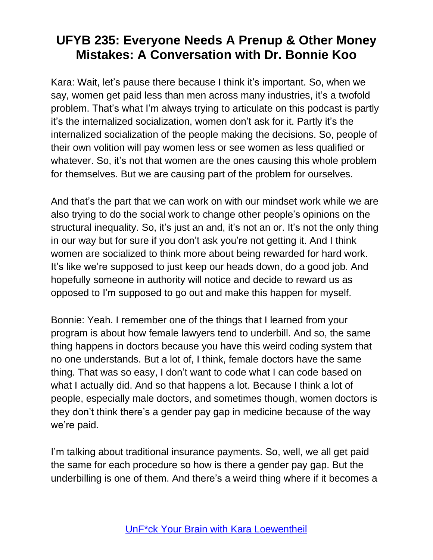Kara: Wait, let's pause there because I think it's important. So, when we say, women get paid less than men across many industries, it's a twofold problem. That's what I'm always trying to articulate on this podcast is partly it's the internalized socialization, women don't ask for it. Partly it's the internalized socialization of the people making the decisions. So, people of their own volition will pay women less or see women as less qualified or whatever. So, it's not that women are the ones causing this whole problem for themselves. But we are causing part of the problem for ourselves.

And that's the part that we can work on with our mindset work while we are also trying to do the social work to change other people's opinions on the structural inequality. So, it's just an and, it's not an or. It's not the only thing in our way but for sure if you don't ask you're not getting it. And I think women are socialized to think more about being rewarded for hard work. It's like we're supposed to just keep our heads down, do a good job. And hopefully someone in authority will notice and decide to reward us as opposed to I'm supposed to go out and make this happen for myself.

Bonnie: Yeah. I remember one of the things that I learned from your program is about how female lawyers tend to underbill. And so, the same thing happens in doctors because you have this weird coding system that no one understands. But a lot of, I think, female doctors have the same thing. That was so easy, I don't want to code what I can code based on what I actually did. And so that happens a lot. Because I think a lot of people, especially male doctors, and sometimes though, women doctors is they don't think there's a gender pay gap in medicine because of the way we're paid.

I'm talking about traditional insurance payments. So, well, we all get paid the same for each procedure so how is there a gender pay gap. But the underbilling is one of them. And there's a weird thing where if it becomes a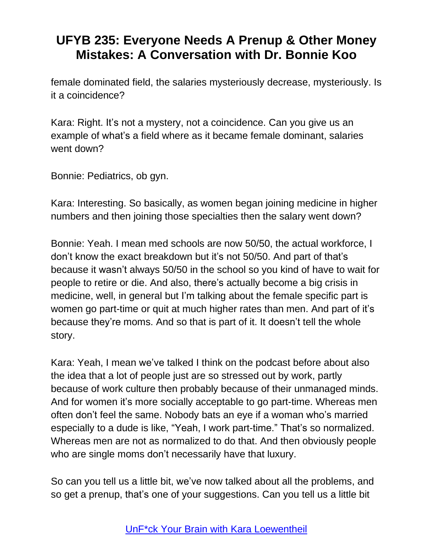female dominated field, the salaries mysteriously decrease, mysteriously. Is it a coincidence?

Kara: Right. It's not a mystery, not a coincidence. Can you give us an example of what's a field where as it became female dominant, salaries went down?

Bonnie: Pediatrics, ob gyn.

Kara: Interesting. So basically, as women began joining medicine in higher numbers and then joining those specialties then the salary went down?

Bonnie: Yeah. I mean med schools are now 50/50, the actual workforce, I don't know the exact breakdown but it's not 50/50. And part of that's because it wasn't always 50/50 in the school so you kind of have to wait for people to retire or die. And also, there's actually become a big crisis in medicine, well, in general but I'm talking about the female specific part is women go part-time or quit at much higher rates than men. And part of it's because they're moms. And so that is part of it. It doesn't tell the whole story.

Kara: Yeah, I mean we've talked I think on the podcast before about also the idea that a lot of people just are so stressed out by work, partly because of work culture then probably because of their unmanaged minds. And for women it's more socially acceptable to go part-time. Whereas men often don't feel the same. Nobody bats an eye if a woman who's married especially to a dude is like, "Yeah, I work part-time." That's so normalized. Whereas men are not as normalized to do that. And then obviously people who are single moms don't necessarily have that luxury.

So can you tell us a little bit, we've now talked about all the problems, and so get a prenup, that's one of your suggestions. Can you tell us a little bit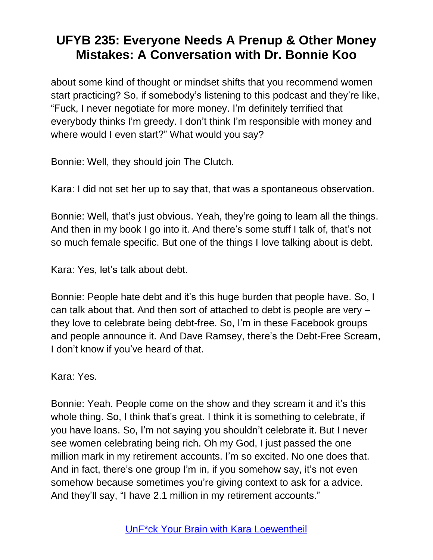about some kind of thought or mindset shifts that you recommend women start practicing? So, if somebody's listening to this podcast and they're like, "Fuck, I never negotiate for more money. I'm definitely terrified that everybody thinks I'm greedy. I don't think I'm responsible with money and where would I even start?" What would you say?

Bonnie: Well, they should join The Clutch.

Kara: I did not set her up to say that, that was a spontaneous observation.

Bonnie: Well, that's just obvious. Yeah, they're going to learn all the things. And then in my book I go into it. And there's some stuff I talk of, that's not so much female specific. But one of the things I love talking about is debt.

Kara: Yes, let's talk about debt.

Bonnie: People hate debt and it's this huge burden that people have. So, I can talk about that. And then sort of attached to debt is people are very – they love to celebrate being debt-free. So, I'm in these Facebook groups and people announce it. And Dave Ramsey, there's the Debt-Free Scream, I don't know if you've heard of that.

Kara: Yes.

Bonnie: Yeah. People come on the show and they scream it and it's this whole thing. So, I think that's great. I think it is something to celebrate, if you have loans. So, I'm not saying you shouldn't celebrate it. But I never see women celebrating being rich. Oh my God, I just passed the one million mark in my retirement accounts. I'm so excited. No one does that. And in fact, there's one group I'm in, if you somehow say, it's not even somehow because sometimes you're giving context to ask for a advice. And they'll say, "I have 2.1 million in my retirement accounts."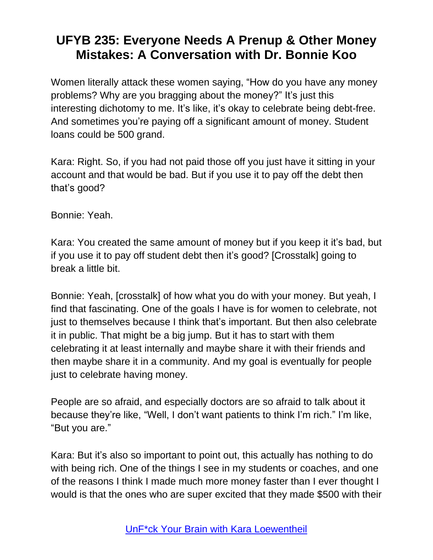Women literally attack these women saying, "How do you have any money problems? Why are you bragging about the money?" It's just this interesting dichotomy to me. It's like, it's okay to celebrate being debt-free. And sometimes you're paying off a significant amount of money. Student loans could be 500 grand.

Kara: Right. So, if you had not paid those off you just have it sitting in your account and that would be bad. But if you use it to pay off the debt then that's good?

Bonnie: Yeah.

Kara: You created the same amount of money but if you keep it it's bad, but if you use it to pay off student debt then it's good? [Crosstalk] going to break a little bit.

Bonnie: Yeah, [crosstalk] of how what you do with your money. But yeah, I find that fascinating. One of the goals I have is for women to celebrate, not just to themselves because I think that's important. But then also celebrate it in public. That might be a big jump. But it has to start with them celebrating it at least internally and maybe share it with their friends and then maybe share it in a community. And my goal is eventually for people just to celebrate having money.

People are so afraid, and especially doctors are so afraid to talk about it because they're like, "Well, I don't want patients to think I'm rich." I'm like, "But you are."

Kara: But it's also so important to point out, this actually has nothing to do with being rich. One of the things I see in my students or coaches, and one of the reasons I think I made much more money faster than I ever thought I would is that the ones who are super excited that they made \$500 with their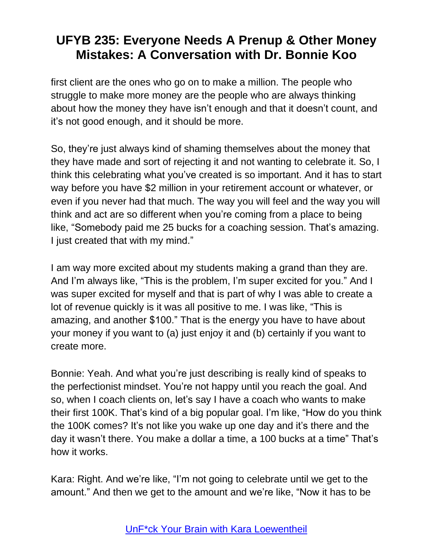first client are the ones who go on to make a million. The people who struggle to make more money are the people who are always thinking about how the money they have isn't enough and that it doesn't count, and it's not good enough, and it should be more.

So, they're just always kind of shaming themselves about the money that they have made and sort of rejecting it and not wanting to celebrate it. So, I think this celebrating what you've created is so important. And it has to start way before you have \$2 million in your retirement account or whatever, or even if you never had that much. The way you will feel and the way you will think and act are so different when you're coming from a place to being like, "Somebody paid me 25 bucks for a coaching session. That's amazing. I just created that with my mind."

I am way more excited about my students making a grand than they are. And I'm always like, "This is the problem, I'm super excited for you." And I was super excited for myself and that is part of why I was able to create a lot of revenue quickly is it was all positive to me. I was like, "This is amazing, and another \$100." That is the energy you have to have about your money if you want to (a) just enjoy it and (b) certainly if you want to create more.

Bonnie: Yeah. And what you're just describing is really kind of speaks to the perfectionist mindset. You're not happy until you reach the goal. And so, when I coach clients on, let's say I have a coach who wants to make their first 100K. That's kind of a big popular goal. I'm like, "How do you think the 100K comes? It's not like you wake up one day and it's there and the day it wasn't there. You make a dollar a time, a 100 bucks at a time" That's how it works.

Kara: Right. And we're like, "I'm not going to celebrate until we get to the amount." And then we get to the amount and we're like, "Now it has to be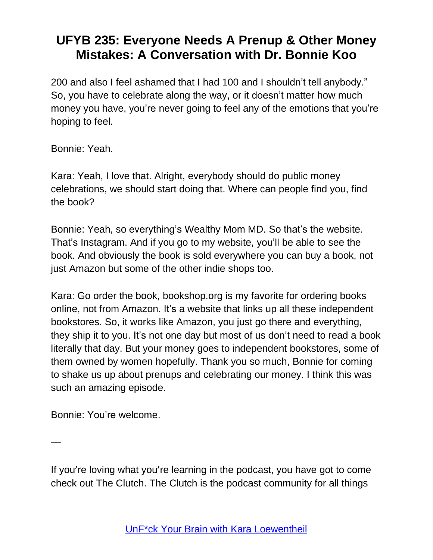200 and also I feel ashamed that I had 100 and I shouldn't tell anybody." So, you have to celebrate along the way, or it doesn't matter how much money you have, you're never going to feel any of the emotions that you're hoping to feel.

Bonnie: Yeah.

Kara: Yeah, I love that. Alright, everybody should do public money celebrations, we should start doing that. Where can people find you, find the book?

Bonnie: Yeah, so everything's Wealthy Mom MD. So that's the website. That's Instagram. And if you go to my website, you'll be able to see the book. And obviously the book is sold everywhere you can buy a book, not just Amazon but some of the other indie shops too.

Kara: Go order the book, bookshop.org is my favorite for ordering books online, not from Amazon. It's a website that links up all these independent bookstores. So, it works like Amazon, you just go there and everything, they ship it to you. It's not one day but most of us don't need to read a book literally that day. But your money goes to independent bookstores, some of them owned by women hopefully. Thank you so much, Bonnie for coming to shake us up about prenups and celebrating our money. I think this was such an amazing episode.

Bonnie: You're welcome.

—

If you're loving what you're learning in the podcast, you have got to come check out The Clutch. The Clutch is the podcast community for all things